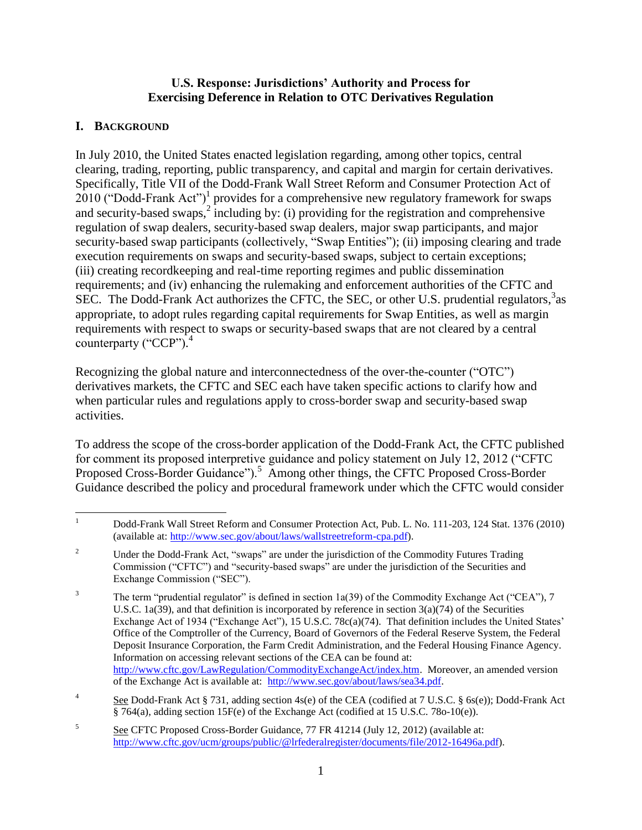#### **U.S. Response: Jurisdictions' Authority and Process for Exercising Deference in Relation to OTC Derivatives Regulation**

### **I. BACKGROUND**

In July 2010, the United States enacted legislation regarding, among other topics, central clearing, trading, reporting, public transparency, and capital and margin for certain derivatives. Specifically, Title VII of the Dodd-Frank Wall Street Reform and Consumer Protection Act of  $2010$  ("Dodd-Frank Act")<sup>1</sup> provides for a comprehensive new regulatory framework for swaps and security-based swaps, $^{2}$  including by: (i) providing for the registration and comprehensive regulation of swap dealers, security-based swap dealers, major swap participants, and major security-based swap participants (collectively, "Swap Entities"); (ii) imposing clearing and trade execution requirements on swaps and security-based swaps, subject to certain exceptions; (iii) creating recordkeeping and real-time reporting regimes and public dissemination requirements; and (iv) enhancing the rulemaking and enforcement authorities of the CFTC and SEC. The Dodd-Frank Act authorizes the CFTC, the SEC, or other U.S. prudential regulators,<sup>3</sup> as appropriate, to adopt rules regarding capital requirements for Swap Entities, as well as margin requirements with respect to swaps or security-based swaps that are not cleared by a central counterparty ("CCP").<sup>4</sup>

Recognizing the global nature and interconnectedness of the over-the-counter ("OTC") derivatives markets, the CFTC and SEC each have taken specific actions to clarify how and when particular rules and regulations apply to cross-border swap and security-based swap activities.

To address the scope of the cross-border application of the Dodd-Frank Act, the CFTC published for comment its proposed interpretive guidance and policy statement on July 12, 2012 ("CFTC Proposed Cross-Border Guidance").<sup>5</sup> Among other things, the CFTC Proposed Cross-Border Guidance described the policy and procedural framework under which the CFTC would consider

 $\mathbf{1}$ <sup>1</sup> Dodd-Frank Wall Street Reform and Consumer Protection Act, Pub. L. No. 111-203, 124 Stat. 1376 (2010) (available at: [http://www.sec.gov/about/laws/wallstreetreform-cpa.pdf\)](http://www.sec.gov/about/laws/wallstreetreform-cpa.pdf).

<sup>&</sup>lt;sup>2</sup> Under the Dodd-Frank Act, "swaps" are under the jurisdiction of the Commodity Futures Trading Commission ("CFTC") and "security-based swaps" are under the jurisdiction of the Securities and Exchange Commission ("SEC").

<sup>&</sup>lt;sup>3</sup> The term "prudential regulator" is defined in section 1a(39) of the Commodity Exchange Act ("CEA"), 7 U.S.C. 1a(39), and that definition is incorporated by reference in section  $3(a)(74)$  of the Securities Exchange Act of 1934 ("Exchange Act"), 15 U.S.C. 78c(a)(74). That definition includes the United States' Office of the Comptroller of the Currency, Board of Governors of the Federal Reserve System, the Federal Deposit Insurance Corporation, the Farm Credit Administration, and the Federal Housing Finance Agency. Information on accessing relevant sections of the CEA can be found at: [http://www.cftc.gov/LawRegulation/CommodityExchangeAct/index.htm.](http://www.cftc.gov/LawRegulation/CommodityExchangeAct/index.htm) Moreover, an amended version of the Exchange Act is available at: [http://www.sec.gov/about/laws/sea34.pdf.](http://www.sec.gov/about/laws/sea34.pdf)

<sup>4</sup> See Dodd-Frank Act § 731, adding section 4s(e) of the CEA (codified at 7 U.S.C. § 6s(e)); Dodd-Frank Act § 764(a), adding section 15F(e) of the Exchange Act (codified at 15 U.S.C. 78o-10(e)).

<sup>5</sup> See CFTC Proposed Cross-Border Guidance, 77 FR 41214 (July 12, 2012) (available at: [http://www.cftc.gov/ucm/groups/public/@lrfederalregister/documents/file/2012-16496a.pdf\)](http://www.cftc.gov/ucm/groups/public/@lrfederalregister/documents/file/2012-16496a.pdf).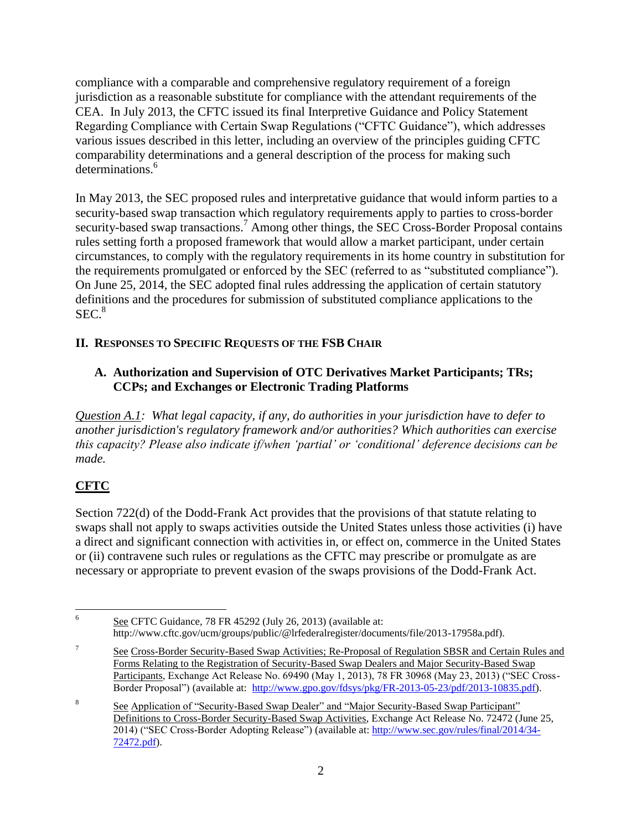compliance with a comparable and comprehensive regulatory requirement of a foreign jurisdiction as a reasonable substitute for compliance with the attendant requirements of the CEA. In July 2013, the CFTC issued its final Interpretive Guidance and Policy Statement Regarding Compliance with Certain Swap Regulations ("CFTC Guidance"), which addresses various issues described in this letter, including an overview of the principles guiding CFTC comparability determinations and a general description of the process for making such determinations.<sup>6</sup>

In May 2013, the SEC proposed rules and interpretative guidance that would inform parties to a security-based swap transaction which regulatory requirements apply to parties to cross-border security-based swap transactions.<sup>7</sup> Among other things, the SEC Cross-Border Proposal contains rules setting forth a proposed framework that would allow a market participant, under certain circumstances, to comply with the regulatory requirements in its home country in substitution for the requirements promulgated or enforced by the SEC (referred to as "substituted compliance"). On June 25, 2014, the SEC adopted final rules addressing the application of certain statutory definitions and the procedures for submission of substituted compliance applications to the  $SEC.<sup>8</sup>$ 

### **II. RESPONSES TO SPECIFIC REQUESTS OF THE FSB CHAIR**

### **A. Authorization and Supervision of OTC Derivatives Market Participants; TRs; CCPs; and Exchanges or Electronic Trading Platforms**

*Question A.1: What legal capacity, if any, do authorities in your jurisdiction have to defer to another jurisdiction's regulatory framework and/or authorities? Which authorities can exercise this capacity? Please also indicate if/when 'partial' or 'conditional' deference decisions can be made.*

# **CFTC**

Section 722(d) of the Dodd-Frank Act provides that the provisions of that statute relating to swaps shall not apply to swaps activities outside the United States unless those activities (i) have a direct and significant connection with activities in, or effect on, commerce in the United States or (ii) contravene such rules or regulations as the CFTC may prescribe or promulgate as are necessary or appropriate to prevent evasion of the swaps provisions of the Dodd-Frank Act.

 6 See CFTC Guidance, 78 FR 45292 (July 26, 2013) (available at: http://www.cftc.gov/ucm/groups/public/@lrfederalregister/documents/file/2013-17958a.pdf).

<sup>7</sup> See Cross-Border Security-Based Swap Activities; Re-Proposal of Regulation SBSR and Certain Rules and Forms Relating to the Registration of Security-Based Swap Dealers and Major Security-Based Swap Participants, Exchange Act Release No. 69490 (May 1, 2013), 78 FR 30968 (May 23, 2013) ("SEC Cross-Border Proposal") (available at: [http://www.gpo.gov/fdsys/pkg/FR-2013-05-23/pdf/2013-10835.pdf\)](http://www.gpo.gov/fdsys/pkg/FR-2013-05-23/pdf/2013-10835.pdf).

<sup>8</sup> See Application of "Security-Based Swap Dealer" and "Major Security-Based Swap Participant" Definitions to Cross-Border Security-Based Swap Activities, Exchange Act Release No. 72472 (June 25, 2014) ("SEC Cross-Border Adopting Release") (available at: [http://www.sec.gov/rules/final/2014/34-](http://www.sec.gov/rules/final/2014/34-72472.pdf) [72472.pdf\)](http://www.sec.gov/rules/final/2014/34-72472.pdf).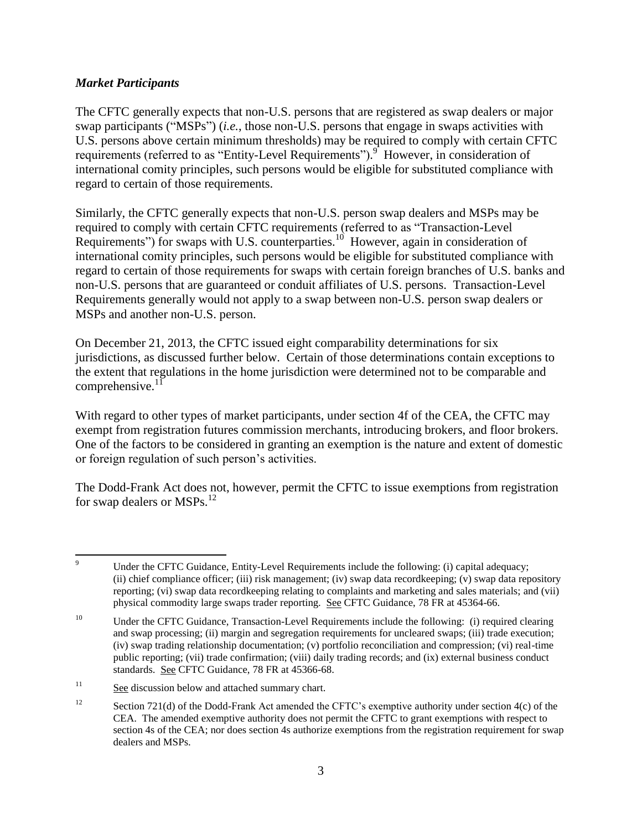#### *Market Participants*

The CFTC generally expects that non-U.S. persons that are registered as swap dealers or major swap participants ("MSPs") (*i.e.*, those non-U.S. persons that engage in swaps activities with U.S. persons above certain minimum thresholds) may be required to comply with certain CFTC requirements (referred to as "Entity-Level Requirements").<sup>9</sup> However, in consideration of international comity principles, such persons would be eligible for substituted compliance with regard to certain of those requirements.

Similarly, the CFTC generally expects that non-U.S. person swap dealers and MSPs may be required to comply with certain CFTC requirements (referred to as "Transaction-Level Requirements") for swaps with U.S. counterparties.<sup>10</sup> However, again in consideration of international comity principles, such persons would be eligible for substituted compliance with regard to certain of those requirements for swaps with certain foreign branches of U.S. banks and non-U.S. persons that are guaranteed or conduit affiliates of U.S. persons. Transaction-Level Requirements generally would not apply to a swap between non-U.S. person swap dealers or MSPs and another non-U.S. person.

On December 21, 2013, the CFTC issued eight comparability determinations for six jurisdictions, as discussed further below. Certain of those determinations contain exceptions to the extent that regulations in the home jurisdiction were determined not to be comparable and comprehensive. $^{11}$ 

With regard to other types of market participants, under section 4f of the CEA, the CFTC may exempt from registration futures commission merchants, introducing brokers, and floor brokers. One of the factors to be considered in granting an exemption is the nature and extent of domestic or foreign regulation of such person's activities.

The Dodd-Frank Act does not, however, permit the CFTC to issue exemptions from registration for swap dealers or MSPs.<sup>12</sup>

 $\overline{9}$ Under the CFTC Guidance, Entity-Level Requirements include the following: (i) capital adequacy; (ii) chief compliance officer; (iii) risk management; (iv) swap data recordkeeping; (v) swap data repository reporting; (vi) swap data recordkeeping relating to complaints and marketing and sales materials; and (vii) physical commodity large swaps trader reporting. See CFTC Guidance, 78 FR at 45364-66.

<sup>&</sup>lt;sup>10</sup> Under the CFTC Guidance, Transaction-Level Requirements include the following: (i) required clearing and swap processing; (ii) margin and segregation requirements for uncleared swaps; (iii) trade execution; (iv) swap trading relationship documentation; (v) portfolio reconciliation and compression; (vi) real-time public reporting; (vii) trade confirmation; (viii) daily trading records; and (ix) external business conduct standards. See CFTC Guidance, 78 FR at 45366-68.

<sup>&</sup>lt;sup>11</sup> See discussion below and attached summary chart.

<sup>&</sup>lt;sup>12</sup> Section 721(d) of the Dodd-Frank Act amended the CFTC's exemptive authority under section 4(c) of the CEA. The amended exemptive authority does not permit the CFTC to grant exemptions with respect to section 4s of the CEA; nor does section 4s authorize exemptions from the registration requirement for swap dealers and MSPs.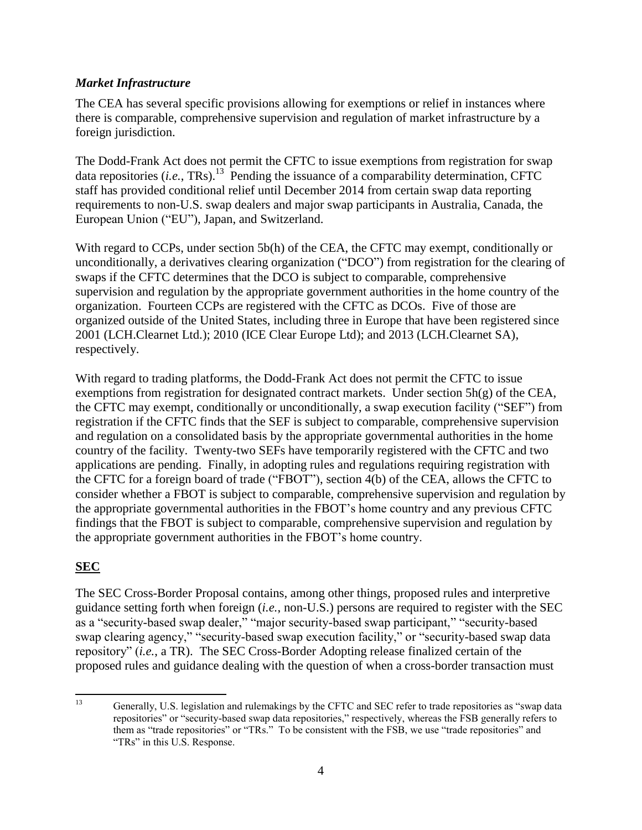#### *Market Infrastructure*

The CEA has several specific provisions allowing for exemptions or relief in instances where there is comparable, comprehensive supervision and regulation of market infrastructure by a foreign jurisdiction.

The Dodd-Frank Act does not permit the CFTC to issue exemptions from registration for swap data repositories (*i.e.*, TRs).<sup>13</sup> Pending the issuance of a comparability determination, CFTC staff has provided conditional relief until December 2014 from certain swap data reporting requirements to non-U.S. swap dealers and major swap participants in Australia, Canada, the European Union ("EU"), Japan, and Switzerland.

With regard to CCPs, under section 5b(h) of the CEA, the CFTC may exempt, conditionally or unconditionally, a derivatives clearing organization ("DCO") from registration for the clearing of swaps if the CFTC determines that the DCO is subject to comparable, comprehensive supervision and regulation by the appropriate government authorities in the home country of the organization. Fourteen CCPs are registered with the CFTC as DCOs. Five of those are organized outside of the United States, including three in Europe that have been registered since 2001 (LCH.Clearnet Ltd.); 2010 (ICE Clear Europe Ltd); and 2013 (LCH.Clearnet SA), respectively.

With regard to trading platforms, the Dodd-Frank Act does not permit the CFTC to issue exemptions from registration for designated contract markets. Under section 5h(g) of the CEA, the CFTC may exempt, conditionally or unconditionally, a swap execution facility ("SEF") from registration if the CFTC finds that the SEF is subject to comparable, comprehensive supervision and regulation on a consolidated basis by the appropriate governmental authorities in the home country of the facility. Twenty-two SEFs have temporarily registered with the CFTC and two applications are pending. Finally, in adopting rules and regulations requiring registration with the CFTC for a foreign board of trade ("FBOT"), section 4(b) of the CEA, allows the CFTC to consider whether a FBOT is subject to comparable, comprehensive supervision and regulation by the appropriate governmental authorities in the FBOT's home country and any previous CFTC findings that the FBOT is subject to comparable, comprehensive supervision and regulation by the appropriate government authorities in the FBOT's home country.

### **SEC**

The SEC Cross-Border Proposal contains, among other things, proposed rules and interpretive guidance setting forth when foreign (*i.e.*, non-U.S.) persons are required to register with the SEC as a "security-based swap dealer," "major security-based swap participant," "security-based swap clearing agency," "security-based swap execution facility," or "security-based swap data repository" (*i.e.*, a TR). The SEC Cross-Border Adopting release finalized certain of the proposed rules and guidance dealing with the question of when a cross-border transaction must

<sup>13</sup> <sup>13</sup> Generally, U.S. legislation and rulemakings by the CFTC and SEC refer to trade repositories as "swap data repositories" or "security-based swap data repositories," respectively, whereas the FSB generally refers to them as "trade repositories" or "TRs." To be consistent with the FSB, we use "trade repositories" and "TRs" in this U.S. Response.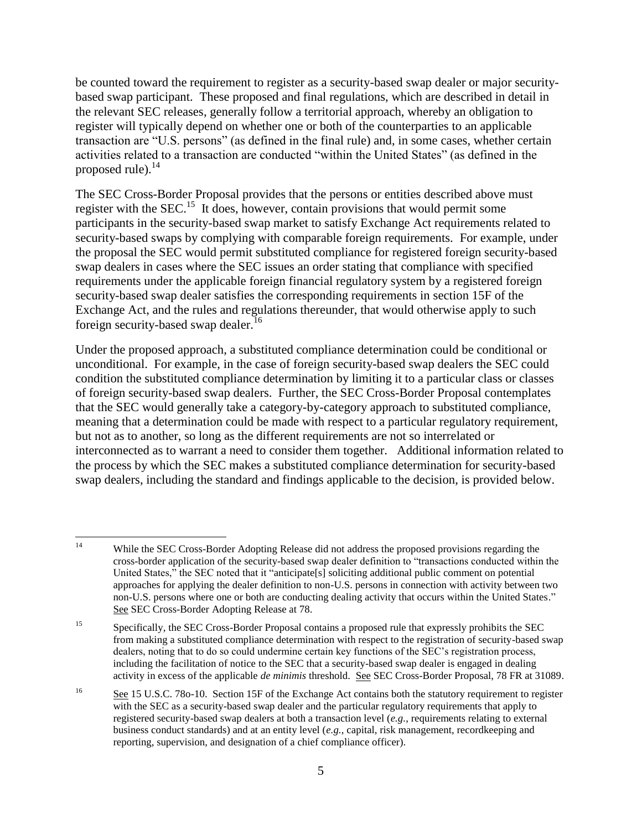be counted toward the requirement to register as a security-based swap dealer or major securitybased swap participant. These proposed and final regulations, which are described in detail in the relevant SEC releases, generally follow a territorial approach, whereby an obligation to register will typically depend on whether one or both of the counterparties to an applicable transaction are "U.S. persons" (as defined in the final rule) and, in some cases, whether certain activities related to a transaction are conducted "within the United States" (as defined in the proposed rule). $^{14}$ 

The SEC Cross-Border Proposal provides that the persons or entities described above must register with the SEC.<sup>15</sup> It does, however, contain provisions that would permit some participants in the security-based swap market to satisfy Exchange Act requirements related to security-based swaps by complying with comparable foreign requirements. For example, under the proposal the SEC would permit substituted compliance for registered foreign security-based swap dealers in cases where the SEC issues an order stating that compliance with specified requirements under the applicable foreign financial regulatory system by a registered foreign security-based swap dealer satisfies the corresponding requirements in section 15F of the Exchange Act, and the rules and regulations thereunder, that would otherwise apply to such foreign security-based swap dealer.<sup>16</sup>

Under the proposed approach, a substituted compliance determination could be conditional or unconditional. For example, in the case of foreign security-based swap dealers the SEC could condition the substituted compliance determination by limiting it to a particular class or classes of foreign security-based swap dealers. Further, the SEC Cross-Border Proposal contemplates that the SEC would generally take a category-by-category approach to substituted compliance, meaning that a determination could be made with respect to a particular regulatory requirement, but not as to another, so long as the different requirements are not so interrelated or interconnected as to warrant a need to consider them together. Additional information related to the process by which the SEC makes a substituted compliance determination for security-based swap dealers, including the standard and findings applicable to the decision, is provided below.

 $14$ While the SEC Cross-Border Adopting Release did not address the proposed provisions regarding the cross-border application of the security-based swap dealer definition to "transactions conducted within the United States," the SEC noted that it "anticipate[s] soliciting additional public comment on potential approaches for applying the dealer definition to non-U.S. persons in connection with activity between two non-U.S. persons where one or both are conducting dealing activity that occurs within the United States." See SEC Cross-Border Adopting Release at 78.

<sup>&</sup>lt;sup>15</sup> Specifically, the SEC Cross-Border Proposal contains a proposed rule that expressly prohibits the SEC from making a substituted compliance determination with respect to the registration of security-based swap dealers, noting that to do so could undermine certain key functions of the SEC's registration process, including the facilitation of notice to the SEC that a security-based swap dealer is engaged in dealing activity in excess of the applicable *de minimis* threshold. See SEC Cross-Border Proposal, 78 FR at 31089.

<sup>&</sup>lt;sup>16</sup> See 15 U.S.C. 78o-10. Section 15F of the Exchange Act contains both the statutory requirement to register with the SEC as a security-based swap dealer and the particular regulatory requirements that apply to registered security-based swap dealers at both a transaction level (*e.g.*, requirements relating to external business conduct standards) and at an entity level (*e.g.*, capital, risk management, recordkeeping and reporting, supervision, and designation of a chief compliance officer).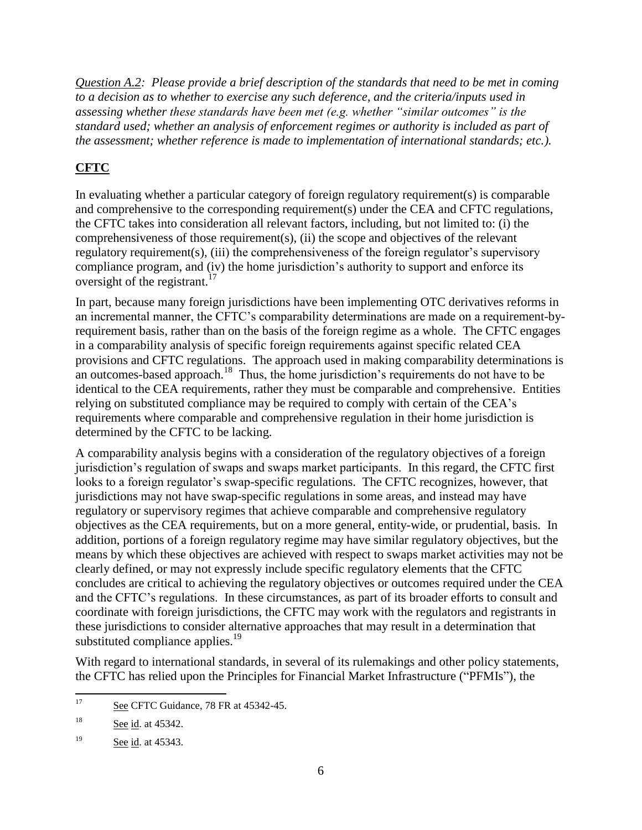*Question A.2: Please provide a brief description of the standards that need to be met in coming to a decision as to whether to exercise any such deference, and the criteria/inputs used in assessing whether these standards have been met (e.g. whether "similar outcomes" is the standard used; whether an analysis of enforcement regimes or authority is included as part of the assessment; whether reference is made to implementation of international standards; etc.).*

# **CFTC**

In evaluating whether a particular category of foreign regulatory requirement(s) is comparable and comprehensive to the corresponding requirement(s) under the CEA and CFTC regulations, the CFTC takes into consideration all relevant factors, including, but not limited to: (i) the comprehensiveness of those requirement(s), (ii) the scope and objectives of the relevant regulatory requirement(s), (iii) the comprehensiveness of the foreign regulator's supervisory compliance program, and (iv) the home jurisdiction's authority to support and enforce its oversight of the registrant.<sup>17</sup>

In part, because many foreign jurisdictions have been implementing OTC derivatives reforms in an incremental manner, the CFTC's comparability determinations are made on a requirement-byrequirement basis, rather than on the basis of the foreign regime as a whole. The CFTC engages in a comparability analysis of specific foreign requirements against specific related CEA provisions and CFTC regulations. The approach used in making comparability determinations is an outcomes-based approach.<sup>18</sup> Thus, the home jurisdiction's requirements do not have to be identical to the CEA requirements, rather they must be comparable and comprehensive. Entities relying on substituted compliance may be required to comply with certain of the CEA's requirements where comparable and comprehensive regulation in their home jurisdiction is determined by the CFTC to be lacking.

A comparability analysis begins with a consideration of the regulatory objectives of a foreign jurisdiction's regulation of swaps and swaps market participants. In this regard, the CFTC first looks to a foreign regulator's swap-specific regulations. The CFTC recognizes, however, that jurisdictions may not have swap-specific regulations in some areas, and instead may have regulatory or supervisory regimes that achieve comparable and comprehensive regulatory objectives as the CEA requirements, but on a more general, entity-wide, or prudential, basis. In addition, portions of a foreign regulatory regime may have similar regulatory objectives, but the means by which these objectives are achieved with respect to swaps market activities may not be clearly defined, or may not expressly include specific regulatory elements that the CFTC concludes are critical to achieving the regulatory objectives or outcomes required under the CEA and the CFTC's regulations. In these circumstances, as part of its broader efforts to consult and coordinate with foreign jurisdictions, the CFTC may work with the regulators and registrants in these jurisdictions to consider alternative approaches that may result in a determination that substituted compliance applies.<sup>19</sup>

With regard to international standards, in several of its rulemakings and other policy statements, the CFTC has relied upon the Principles for Financial Market Infrastructure ("PFMIs"), the

 $17<sup>17</sup>$ See CFTC Guidance, 78 FR at 45342-45.

<sup>&</sup>lt;sup>18</sup> See id. at 45342.

<sup>&</sup>lt;sup>19</sup> See id. at 45343.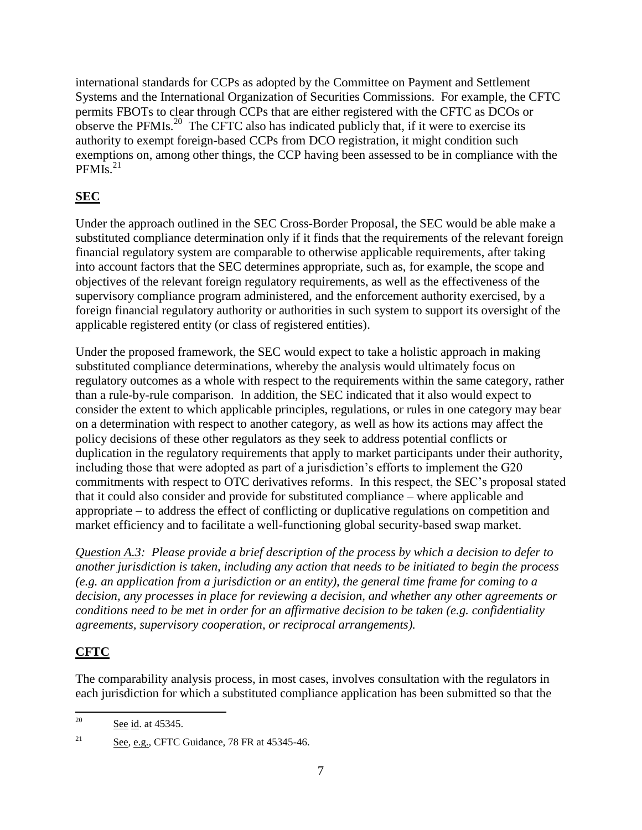international standards for CCPs as adopted by the Committee on Payment and Settlement Systems and the International Organization of Securities Commissions. For example, the CFTC permits FBOTs to clear through CCPs that are either registered with the CFTC as DCOs or observe the PFMIs.<sup>20</sup> The CFTC also has indicated publicly that, if it were to exercise its authority to exempt foreign-based CCPs from DCO registration, it might condition such exemptions on, among other things, the CCP having been assessed to be in compliance with the PFMIs. $^{21}$ 

# **SEC**

Under the approach outlined in the SEC Cross-Border Proposal, the SEC would be able make a substituted compliance determination only if it finds that the requirements of the relevant foreign financial regulatory system are comparable to otherwise applicable requirements, after taking into account factors that the SEC determines appropriate, such as, for example, the scope and objectives of the relevant foreign regulatory requirements, as well as the effectiveness of the supervisory compliance program administered, and the enforcement authority exercised, by a foreign financial regulatory authority or authorities in such system to support its oversight of the applicable registered entity (or class of registered entities).

Under the proposed framework, the SEC would expect to take a holistic approach in making substituted compliance determinations, whereby the analysis would ultimately focus on regulatory outcomes as a whole with respect to the requirements within the same category, rather than a rule-by-rule comparison. In addition, the SEC indicated that it also would expect to consider the extent to which applicable principles, regulations, or rules in one category may bear on a determination with respect to another category, as well as how its actions may affect the policy decisions of these other regulators as they seek to address potential conflicts or duplication in the regulatory requirements that apply to market participants under their authority, including those that were adopted as part of a jurisdiction's efforts to implement the G20 commitments with respect to OTC derivatives reforms. In this respect, the SEC's proposal stated that it could also consider and provide for substituted compliance – where applicable and appropriate – to address the effect of conflicting or duplicative regulations on competition and market efficiency and to facilitate a well-functioning global security-based swap market.

*Question A.3: Please provide a brief description of the process by which a decision to defer to another jurisdiction is taken, including any action that needs to be initiated to begin the process (e.g. an application from a jurisdiction or an entity), the general time frame for coming to a decision, any processes in place for reviewing a decision, and whether any other agreements or conditions need to be met in order for an affirmative decision to be taken (e.g. confidentiality agreements, supervisory cooperation, or reciprocal arrangements).*

## **CFTC**

The comparability analysis process, in most cases, involves consultation with the regulators in each jurisdiction for which a substituted compliance application has been submitted so that the

 $20\degree$ See id. at 45345.

 $\frac{21}{21}$  See, e.g., CFTC Guidance, 78 FR at 45345-46.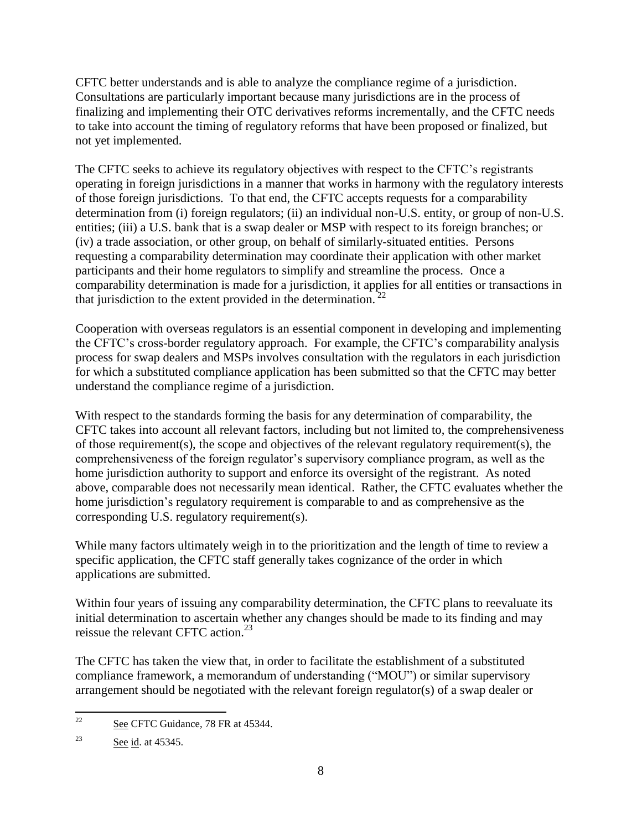CFTC better understands and is able to analyze the compliance regime of a jurisdiction. Consultations are particularly important because many jurisdictions are in the process of finalizing and implementing their OTC derivatives reforms incrementally, and the CFTC needs to take into account the timing of regulatory reforms that have been proposed or finalized, but not yet implemented.

The CFTC seeks to achieve its regulatory objectives with respect to the CFTC's registrants operating in foreign jurisdictions in a manner that works in harmony with the regulatory interests of those foreign jurisdictions. To that end, the CFTC accepts requests for a comparability determination from (i) foreign regulators; (ii) an individual non-U.S. entity, or group of non-U.S. entities; (iii) a U.S. bank that is a swap dealer or MSP with respect to its foreign branches; or (iv) a trade association, or other group, on behalf of similarly-situated entities. Persons requesting a comparability determination may coordinate their application with other market participants and their home regulators to simplify and streamline the process. Once a comparability determination is made for a jurisdiction, it applies for all entities or transactions in that jurisdiction to the extent provided in the determination.  $^{22}$ 

Cooperation with overseas regulators is an essential component in developing and implementing the CFTC's cross-border regulatory approach. For example, the CFTC's comparability analysis process for swap dealers and MSPs involves consultation with the regulators in each jurisdiction for which a substituted compliance application has been submitted so that the CFTC may better understand the compliance regime of a jurisdiction.

With respect to the standards forming the basis for any determination of comparability, the CFTC takes into account all relevant factors, including but not limited to, the comprehensiveness of those requirement(s), the scope and objectives of the relevant regulatory requirement(s), the comprehensiveness of the foreign regulator's supervisory compliance program, as well as the home jurisdiction authority to support and enforce its oversight of the registrant. As noted above, comparable does not necessarily mean identical. Rather, the CFTC evaluates whether the home jurisdiction's regulatory requirement is comparable to and as comprehensive as the corresponding U.S. regulatory requirement(s).

While many factors ultimately weigh in to the prioritization and the length of time to review a specific application, the CFTC staff generally takes cognizance of the order in which applications are submitted.

Within four years of issuing any comparability determination, the CFTC plans to reevaluate its initial determination to ascertain whether any changes should be made to its finding and may reissue the relevant CFTC action.<sup>23</sup>

The CFTC has taken the view that, in order to facilitate the establishment of a substituted compliance framework, a memorandum of understanding ("MOU") or similar supervisory arrangement should be negotiated with the relevant foreign regulator(s) of a swap dealer or

 $22$ See CFTC Guidance, 78 FR at 45344.

 $23$  See id. at 45345.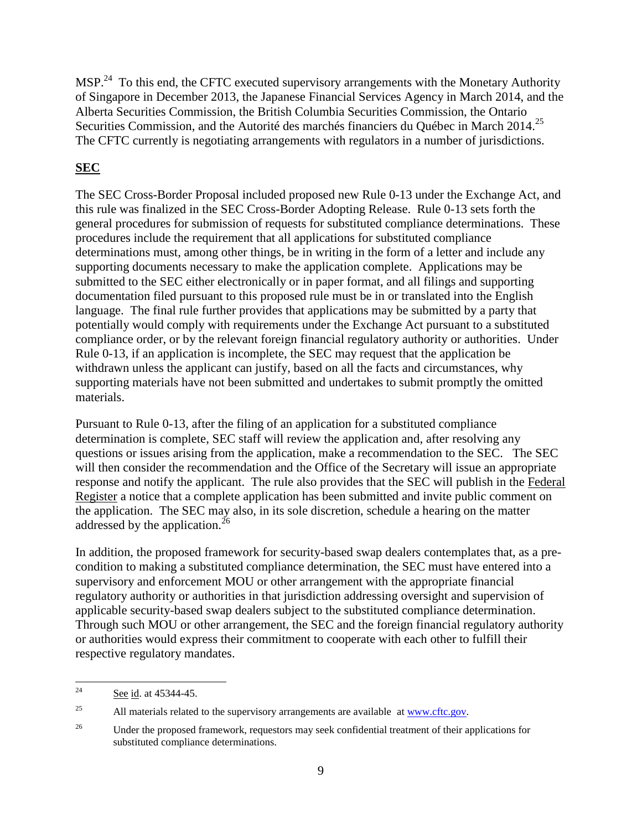MSP.<sup>24</sup> To this end, the CFTC executed supervisory arrangements with the Monetary Authority of Singapore in December 2013, the Japanese Financial Services Agency in March 2014, and the Alberta Securities Commission, the British Columbia Securities Commission, the Ontario Securities Commission, and the Autorité des marchés financiers du Québec in March 2014.<sup>25</sup> The CFTC currently is negotiating arrangements with regulators in a number of jurisdictions.

## **SEC**

The SEC Cross-Border Proposal included proposed new Rule 0-13 under the Exchange Act, and this rule was finalized in the SEC Cross-Border Adopting Release. Rule 0-13 sets forth the general procedures for submission of requests for substituted compliance determinations. These procedures include the requirement that all applications for substituted compliance determinations must, among other things, be in writing in the form of a letter and include any supporting documents necessary to make the application complete. Applications may be submitted to the SEC either electronically or in paper format, and all filings and supporting documentation filed pursuant to this proposed rule must be in or translated into the English language. The final rule further provides that applications may be submitted by a party that potentially would comply with requirements under the Exchange Act pursuant to a substituted compliance order, or by the relevant foreign financial regulatory authority or authorities. Under Rule 0-13, if an application is incomplete, the SEC may request that the application be withdrawn unless the applicant can justify, based on all the facts and circumstances, why supporting materials have not been submitted and undertakes to submit promptly the omitted materials.

Pursuant to Rule 0-13, after the filing of an application for a substituted compliance determination is complete, SEC staff will review the application and, after resolving any questions or issues arising from the application, make a recommendation to the SEC. The SEC will then consider the recommendation and the Office of the Secretary will issue an appropriate response and notify the applicant. The rule also provides that the SEC will publish in the Federal Register a notice that a complete application has been submitted and invite public comment on the application. The SEC may also, in its sole discretion, schedule a hearing on the matter addressed by the application.<sup>26</sup>

In addition, the proposed framework for security-based swap dealers contemplates that, as a precondition to making a substituted compliance determination, the SEC must have entered into a supervisory and enforcement MOU or other arrangement with the appropriate financial regulatory authority or authorities in that jurisdiction addressing oversight and supervision of applicable security-based swap dealers subject to the substituted compliance determination. Through such MOU or other arrangement, the SEC and the foreign financial regulatory authority or authorities would express their commitment to cooperate with each other to fulfill their respective regulatory mandates.

 $24$ See id. at 45344-45.

<sup>&</sup>lt;sup>25</sup> All materials related to the supervisory arrangements are available at [www.cftc.gov.](http://www.cftc.gov/)

<sup>&</sup>lt;sup>26</sup> Under the proposed framework, requestors may seek confidential treatment of their applications for substituted compliance determinations.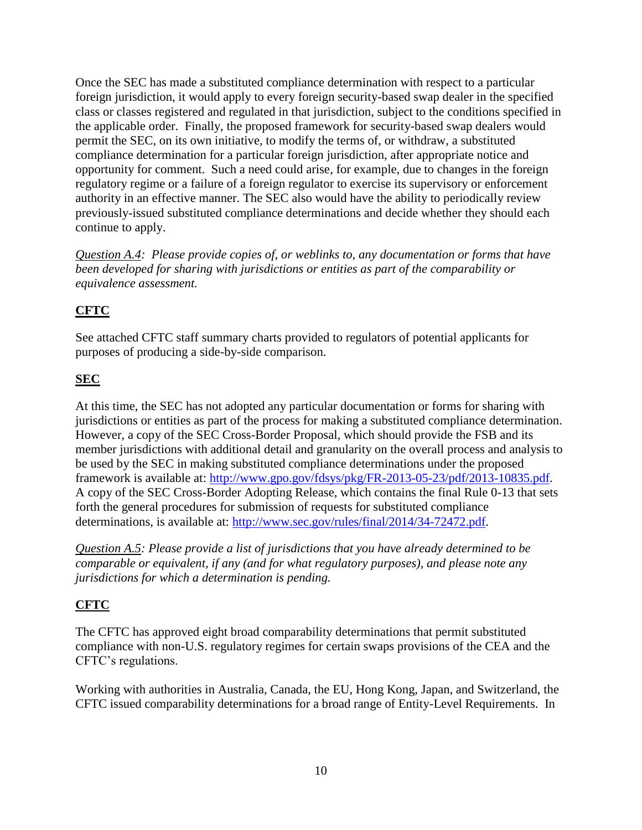Once the SEC has made a substituted compliance determination with respect to a particular foreign jurisdiction, it would apply to every foreign security-based swap dealer in the specified class or classes registered and regulated in that jurisdiction, subject to the conditions specified in the applicable order. Finally, the proposed framework for security-based swap dealers would permit the SEC, on its own initiative, to modify the terms of, or withdraw, a substituted compliance determination for a particular foreign jurisdiction, after appropriate notice and opportunity for comment. Such a need could arise, for example, due to changes in the foreign regulatory regime or a failure of a foreign regulator to exercise its supervisory or enforcement authority in an effective manner. The SEC also would have the ability to periodically review previously-issued substituted compliance determinations and decide whether they should each continue to apply.

*Question A.4: Please provide copies of, or weblinks to, any documentation or forms that have been developed for sharing with jurisdictions or entities as part of the comparability or equivalence assessment.*

# **CFTC**

See attached CFTC staff summary charts provided to regulators of potential applicants for purposes of producing a side-by-side comparison.

## **SEC**

At this time, the SEC has not adopted any particular documentation or forms for sharing with jurisdictions or entities as part of the process for making a substituted compliance determination. However, a copy of the SEC Cross-Border Proposal, which should provide the FSB and its member jurisdictions with additional detail and granularity on the overall process and analysis to be used by the SEC in making substituted compliance determinations under the proposed framework is available at: [http://www.gpo.gov/fdsys/pkg/FR-2013-05-23/pdf/2013-10835.pdf.](http://www.gpo.gov/fdsys/pkg/FR-2013-05-23/pdf/2013-10835.pdf) A copy of the SEC Cross-Border Adopting Release, which contains the final Rule 0-13 that sets forth the general procedures for submission of requests for substituted compliance determinations, is available at: [http://www.sec.gov/rules/final/2014/34-72472.pdf.](http://www.sec.gov/rules/final/2014/34-72472.pdf)

*Question A.5: Please provide a list of jurisdictions that you have already determined to be comparable or equivalent, if any (and for what regulatory purposes), and please note any jurisdictions for which a determination is pending.*

## **CFTC**

The CFTC has approved eight broad comparability determinations that permit substituted compliance with non-U.S. regulatory regimes for certain swaps provisions of the CEA and the CFTC's regulations.

Working with authorities in Australia, Canada, the EU, Hong Kong, Japan, and Switzerland, the CFTC issued comparability determinations for a broad range of Entity-Level Requirements. In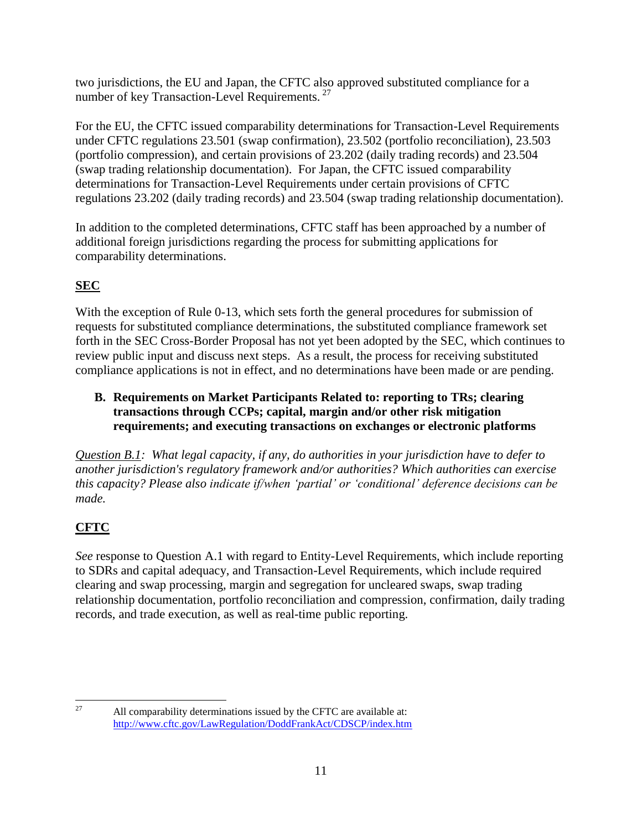two jurisdictions, the EU and Japan, the CFTC also approved substituted compliance for a number of key Transaction-Level Requirements.  $27$ 

For the EU, the CFTC issued comparability determinations for Transaction-Level Requirements under CFTC regulations 23.501 (swap confirmation), 23.502 (portfolio reconciliation), 23.503 (portfolio compression), and certain provisions of 23.202 (daily trading records) and 23.504 (swap trading relationship documentation). For Japan, the CFTC issued comparability determinations for Transaction-Level Requirements under certain provisions of CFTC regulations 23.202 (daily trading records) and 23.504 (swap trading relationship documentation).

In addition to the completed determinations, CFTC staff has been approached by a number of additional foreign jurisdictions regarding the process for submitting applications for comparability determinations.

# **SEC**

With the exception of Rule 0-13, which sets forth the general procedures for submission of requests for substituted compliance determinations, the substituted compliance framework set forth in the SEC Cross-Border Proposal has not yet been adopted by the SEC, which continues to review public input and discuss next steps. As a result, the process for receiving substituted compliance applications is not in effect, and no determinations have been made or are pending.

**B. Requirements on Market Participants Related to: reporting to TRs; clearing transactions through CCPs; capital, margin and/or other risk mitigation requirements; and executing transactions on exchanges or electronic platforms**

*Question B.1: What legal capacity, if any, do authorities in your jurisdiction have to defer to another jurisdiction's regulatory framework and/or authorities? Which authorities can exercise this capacity? Please also indicate if/when 'partial' or 'conditional' deference decisions can be made.*

# **CFTC**

*See* response to Question A.1 with regard to Entity-Level Requirements, which include reporting to SDRs and capital adequacy, and Transaction-Level Requirements, which include required clearing and swap processing, margin and segregation for uncleared swaps, swap trading relationship documentation, portfolio reconciliation and compression, confirmation, daily trading records, and trade execution, as well as real-time public reporting.

<sup>27</sup> All comparability determinations issued by the CFTC are available at: <http://www.cftc.gov/LawRegulation/DoddFrankAct/CDSCP/index.htm>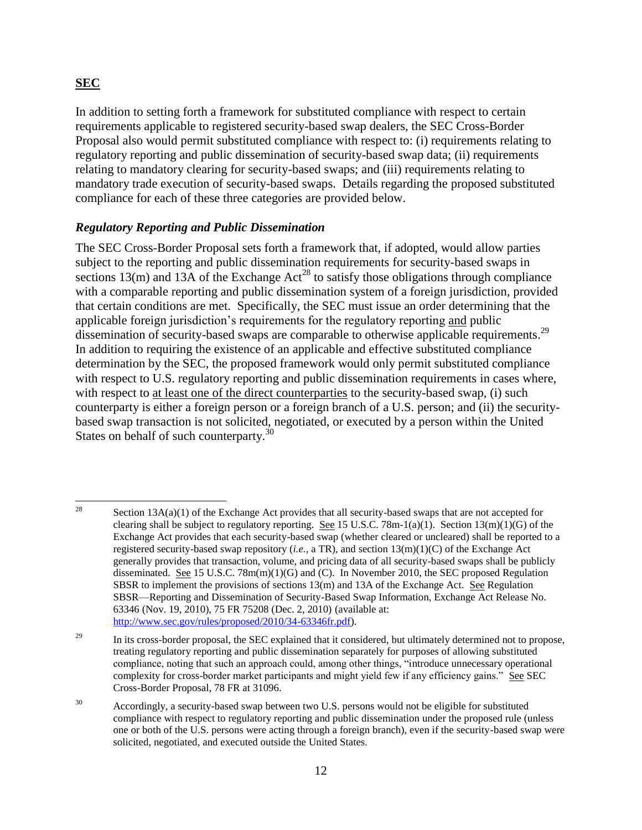#### **SEC**

In addition to setting forth a framework for substituted compliance with respect to certain requirements applicable to registered security-based swap dealers, the SEC Cross-Border Proposal also would permit substituted compliance with respect to: (i) requirements relating to regulatory reporting and public dissemination of security-based swap data; (ii) requirements relating to mandatory clearing for security-based swaps; and (iii) requirements relating to mandatory trade execution of security-based swaps. Details regarding the proposed substituted compliance for each of these three categories are provided below.

#### *Regulatory Reporting and Public Dissemination*

The SEC Cross-Border Proposal sets forth a framework that, if adopted, would allow parties subject to the reporting and public dissemination requirements for security-based swaps in sections 13(m) and 13A of the Exchange Act<sup>28</sup> to satisfy those obligations through compliance with a comparable reporting and public dissemination system of a foreign jurisdiction, provided that certain conditions are met. Specifically, the SEC must issue an order determining that the applicable foreign jurisdiction's requirements for the regulatory reporting and public dissemination of security-based swaps are comparable to otherwise applicable requirements.<sup>29</sup> In addition to requiring the existence of an applicable and effective substituted compliance determination by the SEC, the proposed framework would only permit substituted compliance with respect to U.S. regulatory reporting and public dissemination requirements in cases where, with respect to at least one of the direct counterparties to the security-based swap, (i) such counterparty is either a foreign person or a foreign branch of a U.S. person; and (ii) the securitybased swap transaction is not solicited, negotiated, or executed by a person within the United States on behalf of such counterparty.<sup>30</sup>

<sup>28</sup> Section 13A(a)(1) of the Exchange Act provides that all security-based swaps that are not accepted for clearing shall be subject to regulatory reporting. See 15 U.S.C. 78m-1(a)(1). Section  $13(m)(1)(G)$  of the Exchange Act provides that each security-based swap (whether cleared or uncleared) shall be reported to a registered security-based swap repository (*i.e.,* a TR), and section 13(m)(1)(C) of the Exchange Act generally provides that transaction, volume, and pricing data of all security-based swaps shall be publicly disseminated. See 15 U.S.C.  $78m(m)(1)(G)$  and (C). In November 2010, the SEC proposed Regulation SBSR to implement the provisions of sections 13(m) and 13A of the Exchange Act. See Regulation SBSR—Reporting and Dissemination of Security-Based Swap Information, Exchange Act Release No. 63346 (Nov. 19, 2010), 75 FR 75208 (Dec. 2, 2010) (available at: [http://www.sec.gov/rules/proposed/2010/34-63346fr.pdf\)](http://www.sec.gov/rules/proposed/2010/34-63346fr.pdf).

<sup>&</sup>lt;sup>29</sup> In its cross-border proposal, the SEC explained that it considered, but ultimately determined not to propose, treating regulatory reporting and public dissemination separately for purposes of allowing substituted compliance, noting that such an approach could, among other things, "introduce unnecessary operational complexity for cross-border market participants and might yield few if any efficiency gains." See SEC Cross-Border Proposal, 78 FR at 31096.

<sup>&</sup>lt;sup>30</sup> Accordingly, a security-based swap between two U.S. persons would not be eligible for substituted compliance with respect to regulatory reporting and public dissemination under the proposed rule (unless one or both of the U.S. persons were acting through a foreign branch), even if the security-based swap were solicited, negotiated, and executed outside the United States.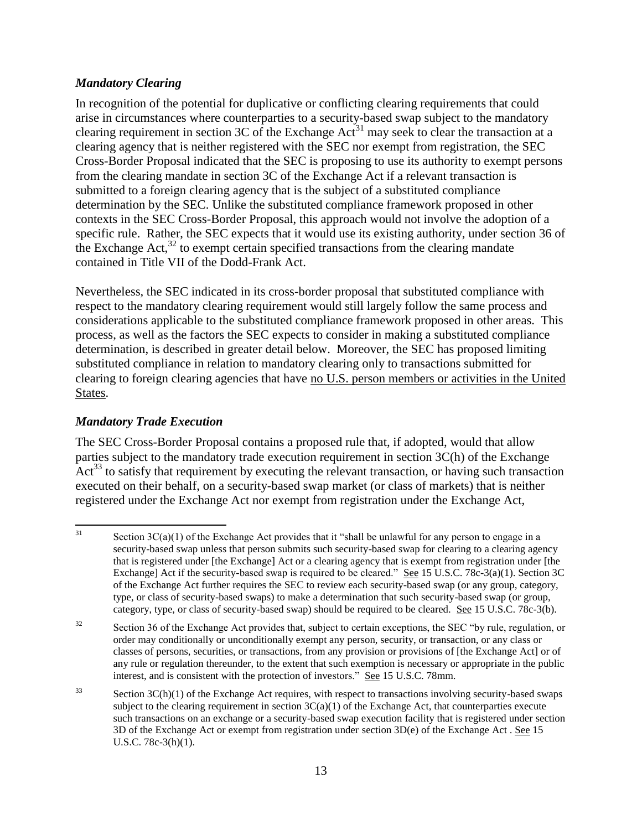#### *Mandatory Clearing*

In recognition of the potential for duplicative or conflicting clearing requirements that could arise in circumstances where counterparties to a security-based swap subject to the mandatory clearing requirement in section 3C of the Exchange Act<sup>31</sup> may seek to clear the transaction at a clearing agency that is neither registered with the SEC nor exempt from registration, the SEC Cross-Border Proposal indicated that the SEC is proposing to use its authority to exempt persons from the clearing mandate in section 3C of the Exchange Act if a relevant transaction is submitted to a foreign clearing agency that is the subject of a substituted compliance determination by the SEC. Unlike the substituted compliance framework proposed in other contexts in the SEC Cross-Border Proposal, this approach would not involve the adoption of a specific rule. Rather, the SEC expects that it would use its existing authority, under section 36 of the Exchange Act, $32$  to exempt certain specified transactions from the clearing mandate contained in Title VII of the Dodd-Frank Act.

Nevertheless, the SEC indicated in its cross-border proposal that substituted compliance with respect to the mandatory clearing requirement would still largely follow the same process and considerations applicable to the substituted compliance framework proposed in other areas. This process, as well as the factors the SEC expects to consider in making a substituted compliance determination, is described in greater detail below. Moreover, the SEC has proposed limiting substituted compliance in relation to mandatory clearing only to transactions submitted for clearing to foreign clearing agencies that have no U.S. person members or activities in the United States.

#### *Mandatory Trade Execution*

The SEC Cross-Border Proposal contains a proposed rule that, if adopted, would that allow parties subject to the mandatory trade execution requirement in section 3C(h) of the Exchange  $Act^{33}$  to satisfy that requirement by executing the relevant transaction, or having such transaction executed on their behalf, on a security-based swap market (or class of markets) that is neither registered under the Exchange Act nor exempt from registration under the Exchange Act,

 $31$ Section  $3C(a)(1)$  of the Exchange Act provides that it "shall be unlawful for any person to engage in a security-based swap unless that person submits such security-based swap for clearing to a clearing agency that is registered under [the Exchange] Act or a clearing agency that is exempt from registration under [the Exchange] Act if the security-based swap is required to be cleared." See 15 U.S.C. 78c-3(a)(1). Section 3C of the Exchange Act further requires the SEC to review each security-based swap (or any group, category, type, or class of security-based swaps) to make a determination that such security-based swap (or group, category, type, or class of security-based swap) should be required to be cleared. See 15 U.S.C. 78c-3(b).

<sup>&</sup>lt;sup>32</sup> Section 36 of the Exchange Act provides that, subject to certain exceptions, the SEC "by rule, regulation, or order may conditionally or unconditionally exempt any person, security, or transaction, or any class or classes of persons, securities, or transactions, from any provision or provisions of [the Exchange Act] or of any rule or regulation thereunder, to the extent that such exemption is necessary or appropriate in the public interest, and is consistent with the protection of investors." See 15 U.S.C. 78mm.

 $33$  Section 3C(h)(1) of the Exchange Act requires, with respect to transactions involving security-based swaps subject to the clearing requirement in section  $3C(a)(1)$  of the Exchange Act, that counterparties execute such transactions on an exchange or a security-based swap execution facility that is registered under section 3D of the Exchange Act or exempt from registration under section 3D(e) of the Exchange Act . See 15 U.S.C. 78c-3(h)(1).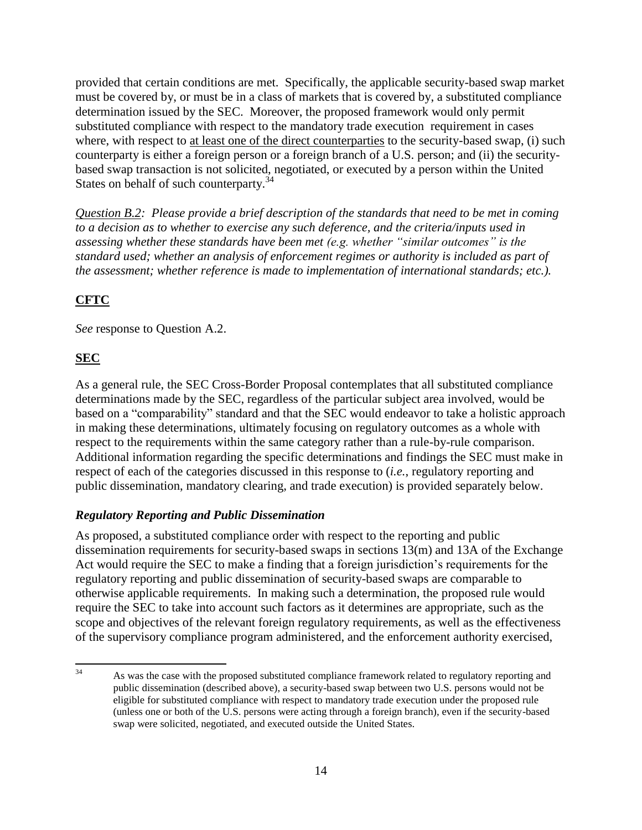provided that certain conditions are met. Specifically, the applicable security-based swap market must be covered by, or must be in a class of markets that is covered by, a substituted compliance determination issued by the SEC. Moreover, the proposed framework would only permit substituted compliance with respect to the mandatory trade execution requirement in cases where, with respect to at least one of the direct counterparties to the security-based swap, (i) such counterparty is either a foreign person or a foreign branch of a U.S. person; and (ii) the securitybased swap transaction is not solicited, negotiated, or executed by a person within the United States on behalf of such counterparty. $34$ 

*Question B.2: Please provide a brief description of the standards that need to be met in coming to a decision as to whether to exercise any such deference, and the criteria/inputs used in assessing whether these standards have been met (e.g. whether "similar outcomes" is the standard used; whether an analysis of enforcement regimes or authority is included as part of the assessment; whether reference is made to implementation of international standards; etc.).* 

# **CFTC**

*See* response to Question A.2.

## **SEC**

As a general rule, the SEC Cross-Border Proposal contemplates that all substituted compliance determinations made by the SEC, regardless of the particular subject area involved, would be based on a "comparability" standard and that the SEC would endeavor to take a holistic approach in making these determinations, ultimately focusing on regulatory outcomes as a whole with respect to the requirements within the same category rather than a rule-by-rule comparison. Additional information regarding the specific determinations and findings the SEC must make in respect of each of the categories discussed in this response to (*i.e.*, regulatory reporting and public dissemination, mandatory clearing, and trade execution) is provided separately below.

### *Regulatory Reporting and Public Dissemination*

As proposed, a substituted compliance order with respect to the reporting and public dissemination requirements for security-based swaps in sections 13(m) and 13A of the Exchange Act would require the SEC to make a finding that a foreign jurisdiction's requirements for the regulatory reporting and public dissemination of security-based swaps are comparable to otherwise applicable requirements. In making such a determination, the proposed rule would require the SEC to take into account such factors as it determines are appropriate, such as the scope and objectives of the relevant foreign regulatory requirements, as well as the effectiveness of the supervisory compliance program administered, and the enforcement authority exercised,

<sup>34</sup> As was the case with the proposed substituted compliance framework related to regulatory reporting and public dissemination (described above), a security-based swap between two U.S. persons would not be eligible for substituted compliance with respect to mandatory trade execution under the proposed rule (unless one or both of the U.S. persons were acting through a foreign branch), even if the security-based swap were solicited, negotiated, and executed outside the United States.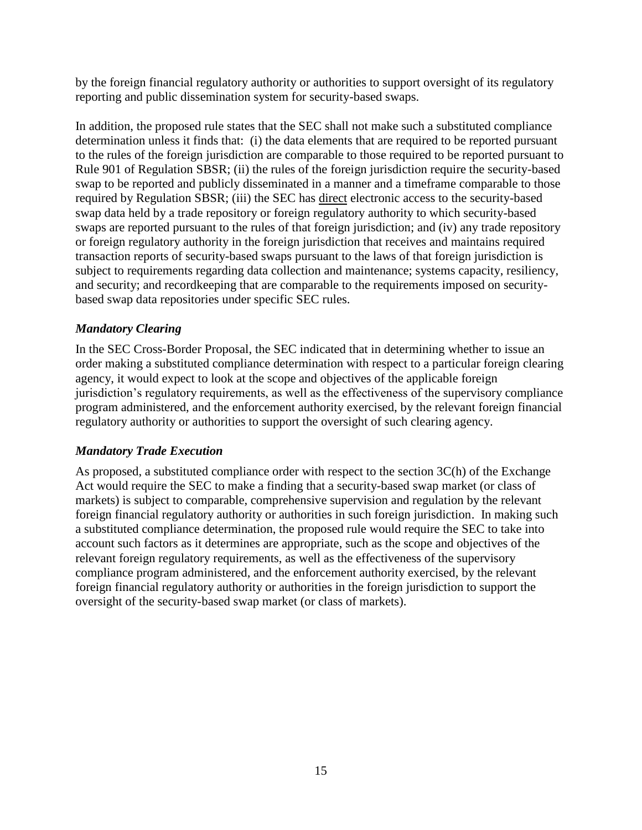by the foreign financial regulatory authority or authorities to support oversight of its regulatory reporting and public dissemination system for security-based swaps.

In addition, the proposed rule states that the SEC shall not make such a substituted compliance determination unless it finds that: (i) the data elements that are required to be reported pursuant to the rules of the foreign jurisdiction are comparable to those required to be reported pursuant to Rule 901 of Regulation SBSR; (ii) the rules of the foreign jurisdiction require the security-based swap to be reported and publicly disseminated in a manner and a timeframe comparable to those required by Regulation SBSR; (iii) the SEC has direct electronic access to the security-based swap data held by a trade repository or foreign regulatory authority to which security-based swaps are reported pursuant to the rules of that foreign jurisdiction; and (iv) any trade repository or foreign regulatory authority in the foreign jurisdiction that receives and maintains required transaction reports of security-based swaps pursuant to the laws of that foreign jurisdiction is subject to requirements regarding data collection and maintenance; systems capacity, resiliency, and security; and recordkeeping that are comparable to the requirements imposed on securitybased swap data repositories under specific SEC rules.

### *Mandatory Clearing*

In the SEC Cross-Border Proposal, the SEC indicated that in determining whether to issue an order making a substituted compliance determination with respect to a particular foreign clearing agency, it would expect to look at the scope and objectives of the applicable foreign jurisdiction's regulatory requirements, as well as the effectiveness of the supervisory compliance program administered, and the enforcement authority exercised, by the relevant foreign financial regulatory authority or authorities to support the oversight of such clearing agency.

#### *Mandatory Trade Execution*

As proposed, a substituted compliance order with respect to the section 3C(h) of the Exchange Act would require the SEC to make a finding that a security-based swap market (or class of markets) is subject to comparable, comprehensive supervision and regulation by the relevant foreign financial regulatory authority or authorities in such foreign jurisdiction. In making such a substituted compliance determination, the proposed rule would require the SEC to take into account such factors as it determines are appropriate, such as the scope and objectives of the relevant foreign regulatory requirements, as well as the effectiveness of the supervisory compliance program administered, and the enforcement authority exercised, by the relevant foreign financial regulatory authority or authorities in the foreign jurisdiction to support the oversight of the security-based swap market (or class of markets).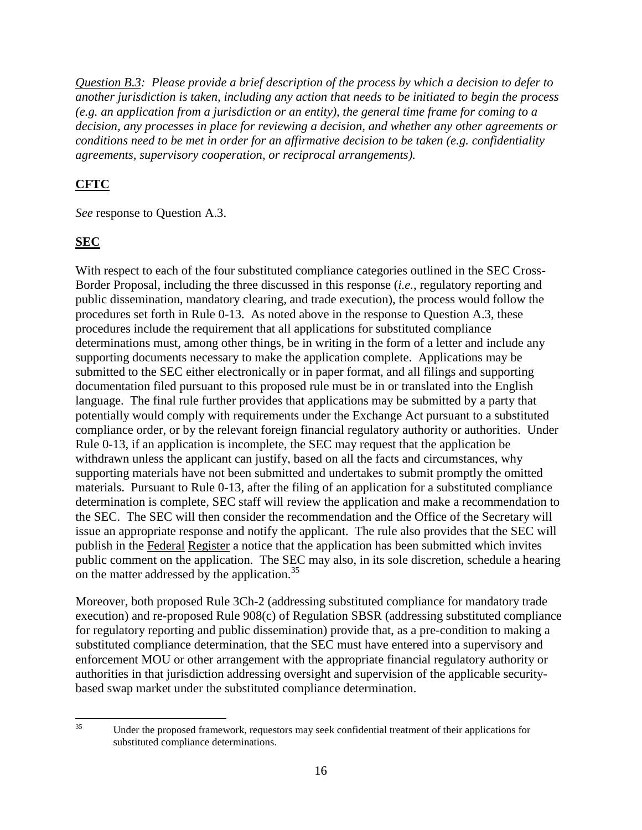*Question B.3: Please provide a brief description of the process by which a decision to defer to another jurisdiction is taken, including any action that needs to be initiated to begin the process (e.g. an application from a jurisdiction or an entity), the general time frame for coming to a decision, any processes in place for reviewing a decision, and whether any other agreements or conditions need to be met in order for an affirmative decision to be taken (e.g. confidentiality agreements, supervisory cooperation, or reciprocal arrangements).*

# **CFTC**

*See* response to Question A.3.

## **SEC**

With respect to each of the four substituted compliance categories outlined in the SEC Cross-Border Proposal, including the three discussed in this response (*i.e.*, regulatory reporting and public dissemination, mandatory clearing, and trade execution), the process would follow the procedures set forth in Rule 0-13. As noted above in the response to Question A.3, these procedures include the requirement that all applications for substituted compliance determinations must, among other things, be in writing in the form of a letter and include any supporting documents necessary to make the application complete. Applications may be submitted to the SEC either electronically or in paper format, and all filings and supporting documentation filed pursuant to this proposed rule must be in or translated into the English language. The final rule further provides that applications may be submitted by a party that potentially would comply with requirements under the Exchange Act pursuant to a substituted compliance order, or by the relevant foreign financial regulatory authority or authorities. Under Rule 0-13, if an application is incomplete, the SEC may request that the application be withdrawn unless the applicant can justify, based on all the facts and circumstances, why supporting materials have not been submitted and undertakes to submit promptly the omitted materials. Pursuant to Rule 0-13, after the filing of an application for a substituted compliance determination is complete, SEC staff will review the application and make a recommendation to the SEC. The SEC will then consider the recommendation and the Office of the Secretary will issue an appropriate response and notify the applicant. The rule also provides that the SEC will publish in the Federal Register a notice that the application has been submitted which invites public comment on the application. The SEC may also, in its sole discretion, schedule a hearing on the matter addressed by the application.<sup>35</sup>

Moreover, both proposed Rule 3Ch-2 (addressing substituted compliance for mandatory trade execution) and re-proposed Rule 908(c) of Regulation SBSR (addressing substituted compliance for regulatory reporting and public dissemination) provide that, as a pre-condition to making a substituted compliance determination, that the SEC must have entered into a supervisory and enforcement MOU or other arrangement with the appropriate financial regulatory authority or authorities in that jurisdiction addressing oversight and supervision of the applicable securitybased swap market under the substituted compliance determination.

 $35$ Under the proposed framework, requestors may seek confidential treatment of their applications for substituted compliance determinations.